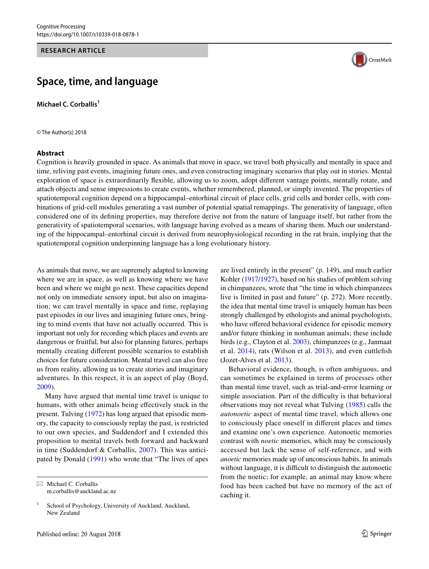#### **RESEARCH ARTICLE**



# **Space, time, and language**

**Michael C. Corballis1**

© The Author(s) 2018

#### **Abstract**

Cognition is heavily grounded in space. As animals that move in space, we travel both physically and mentally in space and time, reliving past events, imagining future ones, and even constructing imaginary scenarios that play out in stories. Mental exploration of space is extraordinarily fexible, allowing us to zoom, adopt diferent vantage points, mentally rotate, and attach objects and sense impressions to create events, whether remembered, planned, or simply invented. The properties of spatiotemporal cognition depend on a hippocampal–entorhinal circuit of place cells, grid cells and border cells, with combinations of grid-cell modules generating a vast number of potential spatial remappings. The generativity of language, often considered one of its defning properties, may therefore derive not from the nature of language itself, but rather from the generativity of spatiotemporal scenarios, with language having evolved as a means of sharing them. Much our understanding of the hippocampal–entorhinal circuit is derived from neurophysiological recording in the rat brain, implying that the spatiotemporal cognition underpinning language has a long evolutionary history.

As animals that move, we are supremely adapted to knowing where we are in space, as well as knowing where we have been and where we might go next. These capacities depend not only on immediate sensory input, but also on imagination; we can travel mentally in space and time, replaying past episodes in our lives and imagining future ones, bringing to mind events that have not actually occurred. This is important not only for recording which places and events are dangerous or fruitful, but also for planning futures, perhaps mentally creating diferent possible scenarios to establish choices for future consideration. Mental travel can also free us from reality, allowing us to create stories and imaginary adventures. In this respect, it is an aspect of play (Boyd, [2009](#page-3-0)).

Many have argued that mental time travel is unique to humans, with other animals being effectively stuck in the present. Tulving ([1972\)](#page-3-1) has long argued that episodic memory, the capacity to consciously replay the past, is restricted to our own species, and Suddendorf and I extended this proposition to mental travels both forward and backward in time (Suddendorf & Corballis, [2007](#page-3-2)). This was anticipated by Donald ([1991\)](#page-3-3) who wrote that "The lives of apes

 $\boxtimes$  Michael C. Corballis m.corballis@auckland.ac.nz are lived entirely in the present" (p. 149), and much earlier Kohler [\(1917/1927](#page-3-4)), based on his studies of problem solving in chimpanzees, wrote that "the time in which chimpanzees live is limited in past and future" (p. 272). More recently, the idea that mental time travel is uniquely human has been strongly challenged by ethologists and animal psychologists, who have offered behavioral evidence for episodic memory and/or future thinking in nonhuman animals; these include birds (e.g., Clayton et al. [2003\)](#page-3-5), chimpanzees (e.g., Janmaat et al. [2014](#page-3-6)), rats (Wilson et al. [2013](#page-3-7)), and even cuttlefsh (Jozet-Alves et al. [2013\)](#page-3-8).

Behavioral evidence, though, is often ambiguous, and can sometimes be explained in terms of processes other than mental time travel, such as trial-and-error learning or simple association. Part of the difficulty is that behavioral observations may not reveal what Tulving ([1985\)](#page-3-9) calls the *autonoetic* aspect of mental time travel, which allows one to consciously place oneself in diferent places and times and examine one's own experience. Autonoetic memories contrast with *noetic* memories, which may be consciously accessed but lack the sense of self-reference, and with *anoetic* memories made up of unconscious habits. In animals without language, it is difficult to distinguish the autonoetic from the noetic; for example, an animal may know where food has been cached but have no memory of the act of caching it.

 $1$  School of Psychology, University of Auckland, Auckland, New Zealand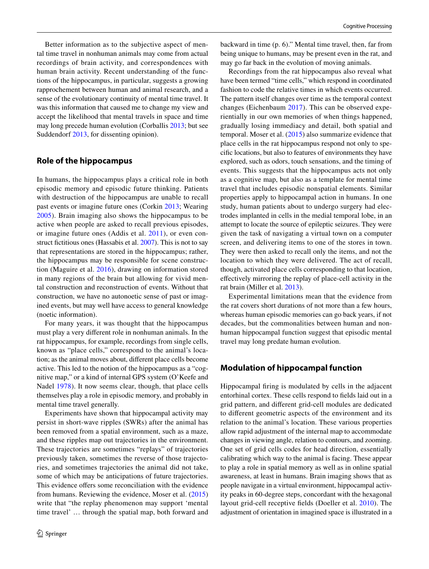Better information as to the subjective aspect of mental time travel in nonhuman animals may come from actual recordings of brain activity, and correspondences with human brain activity. Recent understanding of the functions of the hippocampus, in particular, suggests a growing rapprochement between human and animal research, and a sense of the evolutionary continuity of mental time travel. It was this information that caused me to change my view and accept the likelihood that mental travels in space and time may long precede human evolution (Corballis [2013](#page-3-10); but see Suddendorf [2013,](#page-3-11) for dissenting opinion).

### **Role of the hippocampus**

In humans, the hippocampus plays a critical role in both episodic memory and episodic future thinking. Patients with destruction of the hippocampus are unable to recall past events or imagine future ones (Corkin [2013;](#page-3-12) Wearing [2005\)](#page-3-13). Brain imaging also shows the hippocampus to be active when people are asked to recall previous episodes, or imagine future ones (Addis et al. [2011\)](#page-3-14), or even con-struct fictitious ones (Hassabis et al. [2007\)](#page-3-15). This is not to say that representations are stored in the hippocampus; rather, the hippocampus may be responsible for scene construction (Maguire et al. [2016\)](#page-3-16), drawing on information stored in many regions of the brain but allowing for vivid mental construction and reconstruction of events. Without that construction, we have no autonoetic sense of past or imagined events, but may well have access to general knowledge (noetic information).

For many years, it was thought that the hippocampus must play a very diferent role in nonhuman animals. In the rat hippocampus, for example, recordings from single cells, known as "place cells," correspond to the animal's location; as the animal moves about, diferent place cells become active. This led to the notion of the hippocampus as a "cognitive map," or a kind of internal GPS system (O'Keefe and Nadel [1978](#page-3-17)). It now seems clear, though, that place cells themselves play a role in episodic memory, and probably in mental time travel generally.

Experiments have shown that hippocampal activity may persist in short-wave ripples (SWRs) after the animal has been removed from a spatial environment, such as a maze, and these ripples map out trajectories in the environment. These trajectories are sometimes "replays" of trajectories previously taken, sometimes the reverse of those trajectories, and sometimes trajectories the animal did not take, some of which may be anticipations of future trajectories. This evidence offers some reconciliation with the evidence from humans. Reviewing the evidence, Moser et al. ([2015\)](#page-3-18) write that "the replay phenomenon may support 'mental time travel' … through the spatial map, both forward and backward in time (p. 6)." Mental time travel, then, far from being unique to humans, may be present even in the rat, and may go far back in the evolution of moving animals.

Recordings from the rat hippocampus also reveal what have been termed "time cells," which respond in coordinated fashion to code the relative times in which events occurred. The pattern itself changes over time as the temporal context changes (Eichenbaum [2017\)](#page-3-19). This can be observed experientially in our own memories of when things happened, gradually losing immediacy and detail, both spatial and temporal. Moser et al. ([2015](#page-3-18)) also summarize evidence that place cells in the rat hippocampus respond not only to specifc locations, but also to features of environments they have explored, such as odors, touch sensations, and the timing of events. This suggests that the hippocampus acts not only as a cognitive map, but also as a template for mental time travel that includes episodic nonspatial elements. Similar properties apply to hippocampal action in humans. In one study, human patients about to undergo surgery had electrodes implanted in cells in the medial temporal lobe, in an attempt to locate the source of epileptic seizures. They were given the task of navigating a virtual town on a computer screen, and delivering items to one of the stores in town. They were then asked to recall only the items, and not the location to which they were delivered. The act of recall, though, activated place cells corresponding to that location, efectively mirroring the replay of place-cell activity in the rat brain (Miller et al. [2013\)](#page-3-20).

Experimental limitations mean that the evidence from the rat covers short durations of not more than a few hours, whereas human episodic memories can go back years, if not decades, but the commonalities between human and nonhuman hippocampal function suggest that episodic mental travel may long predate human evolution.

## **Modulation of hippocampal function**

Hippocampal fring is modulated by cells in the adjacent entorhinal cortex. These cells respond to felds laid out in a grid pattern, and diferent grid-cell modules are dedicated to diferent geometric aspects of the environment and its relation to the animal's location. These various properties allow rapid adjustment of the internal map to accommodate changes in viewing angle, relation to contours, and zooming. One set of grid cells codes for head direction, essentially calibrating which way to the animal is facing. These appear to play a role in spatial memory as well as in online spatial awareness, at least in humans. Brain imaging shows that as people navigate in a virtual environment, hippocampal activity peaks in 60-degree steps, concordant with the hexagonal layout grid-cell receptive felds (Doeller et al. [2010](#page-3-21)). The adjustment of orientation in imagined space is illustrated in a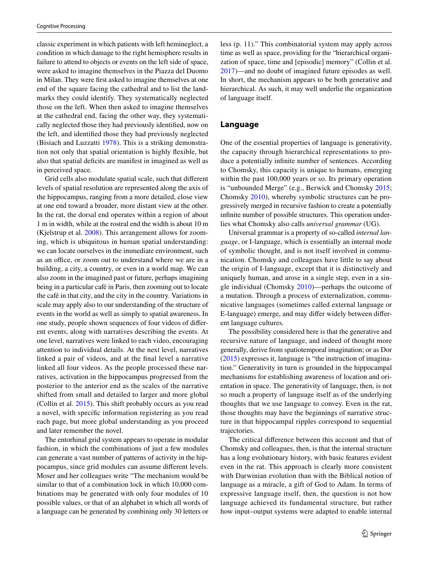classic experiment in which patients with left hemineglect, a condition in which damage to the right hemisphere results in failure to attend to objects or events on the left side of space, were asked to imagine themselves in the Piazza del Duomo in Milan. They were frst asked to imagine themselves at one end of the square facing the cathedral and to list the landmarks they could identify. They systematically neglected those on the left. When then asked to imagine themselves at the cathedral end, facing the other way, they systematically neglected those they had previously identifed, now on the left, and identifed those they had previously neglected (Bisiach and Luzzatti [1978](#page-3-22)). This is a striking demonstration not only that spatial orientation is highly fexible, but also that spatial deficits are manifest in imagined as well as in perceived space.

Grid cells also modulate spatial scale, such that diferent levels of spatial resolution are represented along the axis of the hippocampus, ranging from a more detailed, close view at one end toward a broader, more distant view at the other. In the rat, the dorsal end operates within a region of about 1 m in width, while at the rostral end the width is about 10 m (Kjelstrup et al. [2008\)](#page-3-23). This arrangement allows for zooming, which is ubiquitous in human spatial understanding: we can locate ourselves in the immediate environment, such as an office, or zoom out to understand where we are in a building, a city, a country, or even in a world map. We can also zoom in the imagined past or future, perhaps imagining being in a particular café in Paris, then zooming out to locate the café in that city, and the city in the country. Variations in scale may apply also to our understanding of the structure of events in the world as well as simply to spatial awareness. In one study, people shown sequences of four videos of diferent events, along with narratives describing the events. At one level, narratives were linked to each video, encouraging attention to individual details. At the next level, narratives linked a pair of videos, and at the fnal level a narrative linked all four videos. As the people processed these narratives, activation in the hippocampus progressed from the posterior to the anterior end as the scales of the narrative shifted from small and detailed to larger and more global (Collin et al. [2015](#page-3-24)). This shift probably occurs as you read a novel, with specifc information registering as you read each page, but more global understanding as you proceed and later remember the novel.

The entorhinal grid system appears to operate in modular fashion, in which the combinations of just a few modules can generate a vast number of patterns of activity in the hippocampus, since grid modules can assume diferent levels. Moser and her colleagues write "The mechanism would be similar to that of a combination lock in which 10,000 combinations may be generated with only four modules of 10 possible values, or that of an alphabet in which all words of a language can be generated by combining only 30 letters or less (p. 11)." This combinatorial system may apply across time as well as space, providing for the "hierarchical organization of space, time and [episodic] memory" (Collin et al. [2017](#page-3-25))—and no doubt of imagined future episodes as well. In short, the mechanism appears to be both generative and hierarchical. As such, it may well underlie the organization of language itself.

### **Language**

One of the essential properties of language is generativity, the capacity through hierarchical representations to produce a potentially infnite number of sentences. According to Chomsky, this capacity is unique to humans, emerging within the past 100,000 years or so. Its primary operation is "unbounded Merge" (e.g., Berwick and Chomsky [2015](#page-3-26); Chomsky [2010](#page-3-27)), whereby symbolic structures can be progressively merged in recursive fashion to create a potentially infnite number of possible structures. This operation underlies what Chomsky also calls *universal grammar* (UG).

Universal grammar is a property of so-called *internal language*, or I-language, which is essentially an internal mode of symbolic thought, and is not itself involved in communication. Chomsky and colleagues have little to say about the origin of I-language, except that it is distinctively and uniquely human, and arose in a single step, even in a single individual (Chomsky [2010\)](#page-3-27)—perhaps the outcome of a mutation. Through a process of externalization, communicative languages (sometimes called external language or E-language) emerge, and may difer widely between diferent language cultures.

The possibility considered here is that the generative and recursive nature of language, and indeed of thought more generally, derive from spatiotemporal imagination; or as Dor [\(2015\)](#page-3-28) expresses it, language is "the instruction of imagination." Generativity in turn is grounded in the hippocampal mechanisms for establishing awareness of location and orientation in space. The generativity of language, then, is not so much a property of language itself as of the underlying thoughts that we use language to convey. Even in the rat, those thoughts may have the beginnings of narrative structure in that hippocampal ripples correspond to sequential trajectories.

The critical diference between this account and that of Chomsky and colleagues, then, is that the internal structure has a long evolutionary history, with basic features evident even in the rat. This approach is clearly more consistent with Darwinian evolution than with the Biblical notion of language as a miracle, a gift of God to Adam. In terms of expressive language itself, then, the question is not how language achieved its fundamental structure, but rather how input–output systems were adapted to enable internal